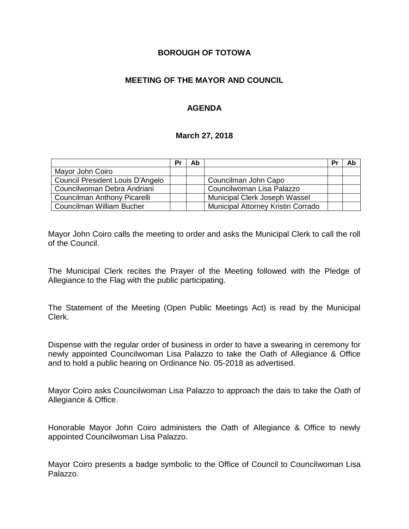#### **BOROUGH OF TOTOWA**

### **MEETING OF THE MAYOR AND COUNCIL**

### **AGENDA**

#### **March 27, 2018**

|                                  | Pr | Ab |                                    | Pr | Ab |
|----------------------------------|----|----|------------------------------------|----|----|
| Mayor John Coiro                 |    |    |                                    |    |    |
| Council President Louis D'Angelo |    |    | Councilman John Capo               |    |    |
| Councilwoman Debra Andriani      |    |    | Councilwoman Lisa Palazzo          |    |    |
| Councilman Anthony Picarelli     |    |    | Municipal Clerk Joseph Wassel      |    |    |
| Councilman William Bucher        |    |    | Municipal Attorney Kristin Corrado |    |    |

Mayor John Coiro calls the meeting to order and asks the Municipal Clerk to call the roll of the Council.

The Municipal Clerk recites the Prayer of the Meeting followed with the Pledge of Allegiance to the Flag with the public participating.

The Statement of the Meeting (Open Public Meetings Act) is read by the Municipal Clerk.

Dispense with the regular order of business in order to have a swearing in ceremony for newly appointed Councilwoman Lisa Palazzo to take the Oath of Allegiance & Office and to hold a public hearing on Ordinance No. 05-2018 as advertised.

Mayor Coiro asks Councilwoman Lisa Palazzo to approach the dais to take the Oath of Allegiance & Office.

Honorable Mayor John Coiro administers the Oath of Allegiance & Office to newly appointed Councilwoman Lisa Palazzo.

Mayor Coiro presents a badge symbolic to the Office of Council to Councilwoman Lisa Palazzo.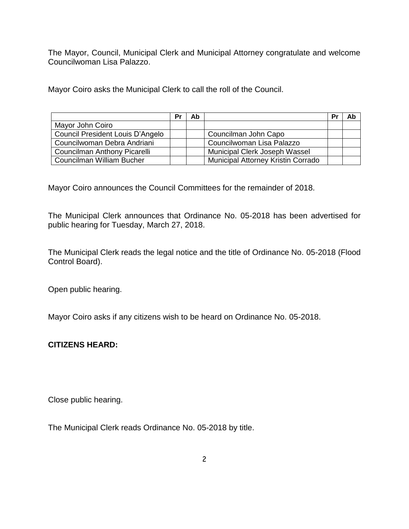The Mayor, Council, Municipal Clerk and Municipal Attorney congratulate and welcome Councilwoman Lisa Palazzo.

Mayor Coiro asks the Municipal Clerk to call the roll of the Council.

|                                  | Pr | Ab |                                           | Pr | Ab |
|----------------------------------|----|----|-------------------------------------------|----|----|
| Mayor John Coiro                 |    |    |                                           |    |    |
| Council President Louis D'Angelo |    |    | Councilman John Capo                      |    |    |
| Councilwoman Debra Andriani      |    |    | Councilwoman Lisa Palazzo                 |    |    |
| Councilman Anthony Picarelli     |    |    | Municipal Clerk Joseph Wassel             |    |    |
| Councilman William Bucher        |    |    | <b>Municipal Attorney Kristin Corrado</b> |    |    |

Mayor Coiro announces the Council Committees for the remainder of 2018.

The Municipal Clerk announces that Ordinance No. 05-2018 has been advertised for public hearing for Tuesday, March 27, 2018.

The Municipal Clerk reads the legal notice and the title of Ordinance No. 05-2018 (Flood Control Board).

Open public hearing.

Mayor Coiro asks if any citizens wish to be heard on Ordinance No. 05-2018.

## **CITIZENS HEARD:**

Close public hearing.

The Municipal Clerk reads Ordinance No. 05-2018 by title.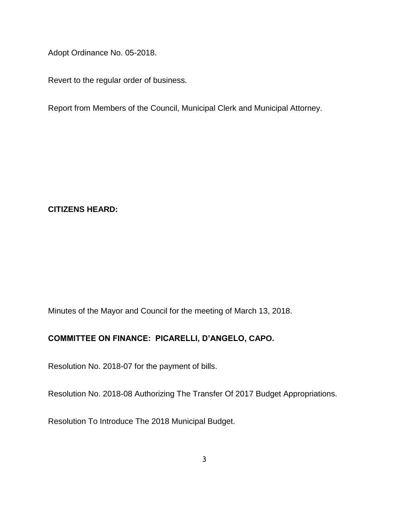Adopt Ordinance No. 05-2018.

Revert to the regular order of business.

Report from Members of the Council, Municipal Clerk and Municipal Attorney.

**CITIZENS HEARD:**

Minutes of the Mayor and Council for the meeting of March 13, 2018.

# **COMMITTEE ON FINANCE: PICARELLI, D'ANGELO, CAPO.**

Resolution No. 2018-07 for the payment of bills.

Resolution No. 2018-08 Authorizing The Transfer Of 2017 Budget Appropriations.

Resolution To Introduce The 2018 Municipal Budget.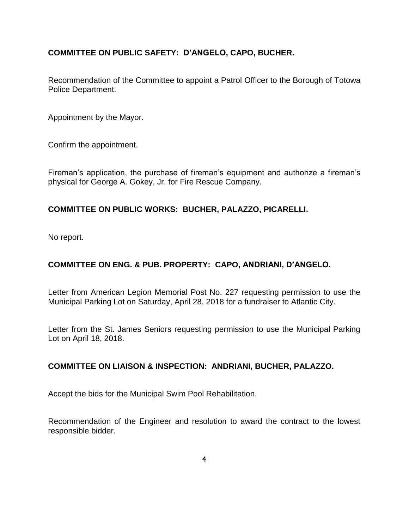## **COMMITTEE ON PUBLIC SAFETY: D'ANGELO, CAPO, BUCHER.**

Recommendation of the Committee to appoint a Patrol Officer to the Borough of Totowa Police Department.

Appointment by the Mayor.

Confirm the appointment.

Fireman's application, the purchase of fireman's equipment and authorize a fireman's physical for George A. Gokey, Jr. for Fire Rescue Company.

### **COMMITTEE ON PUBLIC WORKS: BUCHER, PALAZZO, PICARELLI.**

No report.

## **COMMITTEE ON ENG. & PUB. PROPERTY: CAPO, ANDRIANI, D'ANGELO.**

Letter from American Legion Memorial Post No. 227 requesting permission to use the Municipal Parking Lot on Saturday, April 28, 2018 for a fundraiser to Atlantic City.

Letter from the St. James Seniors requesting permission to use the Municipal Parking Lot on April 18, 2018.

#### **COMMITTEE ON LIAISON & INSPECTION: ANDRIANI, BUCHER, PALAZZO.**

Accept the bids for the Municipal Swim Pool Rehabilitation.

Recommendation of the Engineer and resolution to award the contract to the lowest responsible bidder.